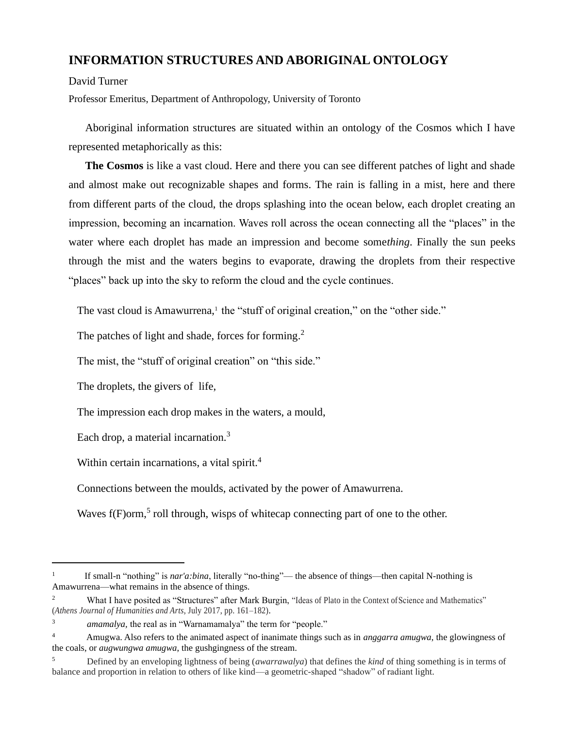## **INFORMATION STRUCTURES AND ABORIGINAL ONTOLOGY**

David Turner

Professor Emeritus, Department of Anthropology, University of Toronto

Aboriginal information structures are situated within an ontology of the Cosmos which I have represented metaphorically as this:

**The Cosmos** is like a vast cloud. Here and there you can see different patches of light and shade and almost make out recognizable shapes and forms. The rain is falling in a mist, here and there from different parts of the cloud, the drops splashing into the ocean below, each droplet creating an impression, becoming an incarnation. Waves roll across the ocean connecting all the "places" in the water where each droplet has made an impression and become some*thing*. Finally the sun peeks through the mist and the waters begins to evaporate, drawing the droplets from their respective "places" back up into the sky to reform the cloud and the cycle continues.

The vast cloud is Amawurrena,<sup>1</sup> the "stuff of original creation," on the "other side."

The patches of light and shade, forces for forming.<sup>2</sup>

The mist, the "stuff of original creation" on "this side."

The droplets, the givers of life,

The impression each drop makes in the waters, a mould,

Each drop, a material incarnation.<sup>3</sup>

Within certain incarnations, a vital spirit.<sup>4</sup>

Connections between the moulds, activated by the power of Amawurrena.

Waves  $f(F)$ orm,<sup>5</sup> roll through, wisps of whitecap connecting part of one to the other.

<sup>1</sup> If small-n "nothing" is *nar'a:bina*, literally "no-thing"— the absence of things—then capital N-nothing is Amawurrena—what remains in the absence of things.

<sup>&</sup>lt;sup>2</sup> What I have posited as "Structures" after Mark Burgin, "Ideas of Plato in the Context of Science and Mathematics" (*Athens Journal of Humanities and Arts*, July 2017, pp. 161–182).

<sup>3</sup> *amamalya,* the real as in "Warnamamalya" the term for "people."

<sup>4</sup> Amugwa. Also refers to the animated aspect of inanimate things such as in *anggarra amugwa*, the glowingness of the coals, or *augwungwa amugwa*, the gushgingness of the stream.

<sup>5</sup> Defined by an enveloping lightness of being (*awarrawalya*) that defines the *kind* of thing something is in terms of balance and proportion in relation to others of like kind—a geometric-shaped "shadow" of radiant light.